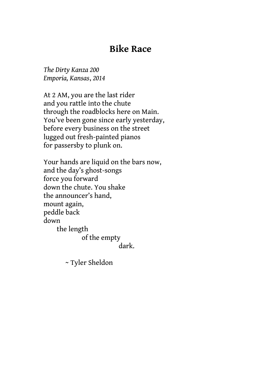## **Bike Race**

*The Dirty Kanza 200 Emporia, Kansas*, *2014*

At 2 AM, you are the last rider and you rattle into the chute through the roadblocks here on Main. You've been gone since early yesterday, before every business on the street lugged out fresh-painted pianos for passersby to plunk on.

Your hands are liquid on the bars now, and the day's ghost-songs force you forward down the chute. You shake the announcer's hand, mount again, peddle back down the length of the empty dark.

~ Tyler Sheldon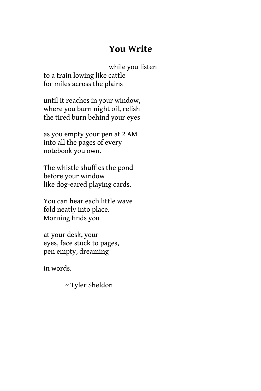# **You Write**

while you listen to a train lowing like cattle for miles across the plains

until it reaches in your window, where you burn night oil, relish the tired burn behind your eyes

as you empty your pen at 2 AM into all the pages of every notebook you own.

The whistle shuffles the pond before your window like dog-eared playing cards.

You can hear each little wave fold neatly into place. Morning finds you

at your desk, your eyes, face stuck to pages, pen empty, dreaming

in words.

~ Tyler Sheldon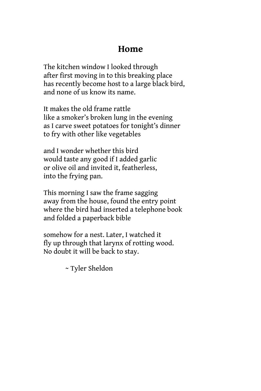### **Home**

The kitchen window I looked through after first moving in to this breaking place has recently become host to a large black bird, and none of us know its name.

It makes the old frame rattle like a smoker's broken lung in the evening as I carve sweet potatoes for tonight's dinner to fry with other like vegetables

and I wonder whether this bird would taste any good if I added garlic or olive oil and invited it, featherless, into the frying pan.

This morning I saw the frame sagging away from the house, found the entry point where the bird had inserted a telephone book and folded a paperback bible

somehow for a nest. Later, I watched it fly up through that larynx of rotting wood. No doubt it will be back to stay.

~ Tyler Sheldon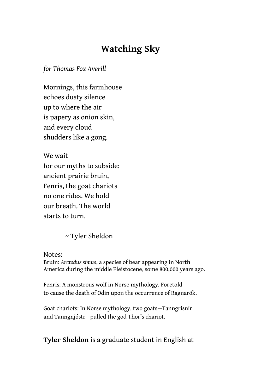# **Watching Sky**

*for Thomas Fox Averill*

Mornings, this farmhouse echoes dusty silence up to where the air is papery as onion skin, and every cloud shudders like a gong.

We wait for our myths to subside: ancient prairie bruin, Fenris, the goat chariots no one rides. We hold our breath. The world starts to turn.

~ Tyler Sheldon

Notes:

Bruin: *Arctodus simus*, a species of bear appearing in North America during the middle Pleistocene, some 800,000 years ago.

Fenris: A monstrous wolf in Norse mythology. Foretold to cause the death of Odin upon the occurrence of Ragnarök.

Goat chariots: In Norse mythology, two goats—Tanngrisnir and Tanngnjóstr—pulled the god Thor's chariot.

#### **Tyler Sheldon** is a graduate student in English at